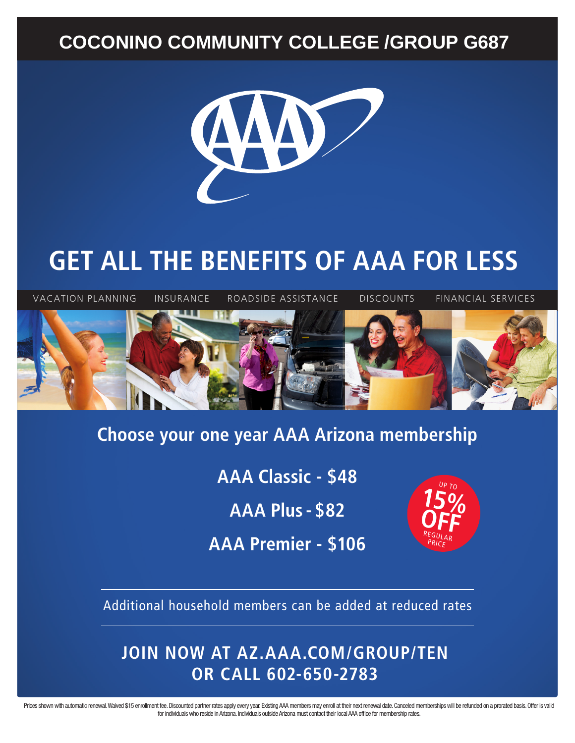### **COCONINO COMMUNITY COLLEGE /GROUP G687**



# **GET ALL THE BENEFITS OF AAA FOR LESS**



#### **Choose your one year AAA Arizona membership**

**AAA Classic - \$48**

**AAA Plus - \$82**

**AAA Premier - \$106**



Additional household members can be added at reduced rates

#### **JOIN NOW AT AZ.AAA.COM/GROUP/TEN OR CALL 602-650-2783**

Prices shown with automatic renewal. Waived \$15 enrollment fee. Discounted partner rates apply every year. Existing AAA members may enroll at their next renewal date. Canceled memberships will be refunded on a prorated bas for individuals who reside in Arizona. Individuals outside Arizona must contact their local AAA office for membership rates.